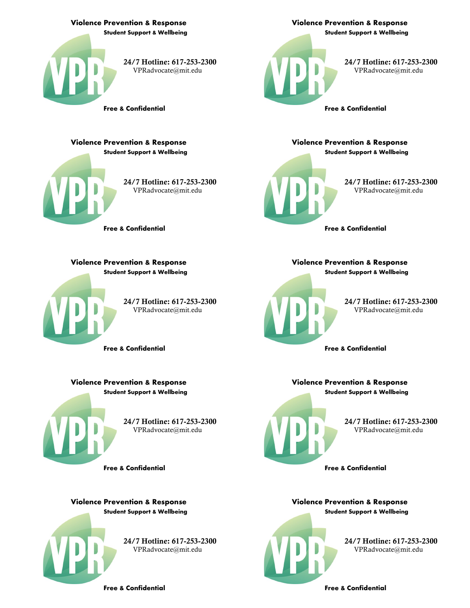

 **Student Support & Wellbeing Violence Prevention & Response**

> 24/7 Hotline: 617-253-2300 [VPRadvocate@mit.edu](mailto:vpradvocate@mit.edu)

**Free & Confidential**

24/7 Hotline: 617-253-2300 [VPRadvocate@mit.edu](mailto:vpradvocate@mit.edu)

**Student Support & Wellbeing**

**Violence Prevention & Response**

**Free & Confidential**